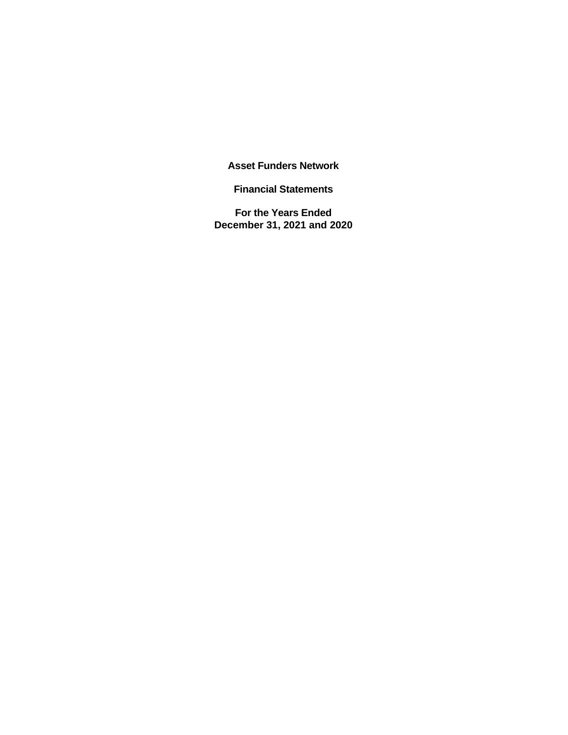**Asset Funders Network** 

**Financial Statements** 

**For the Years Ended December 31, 2021 and 2020**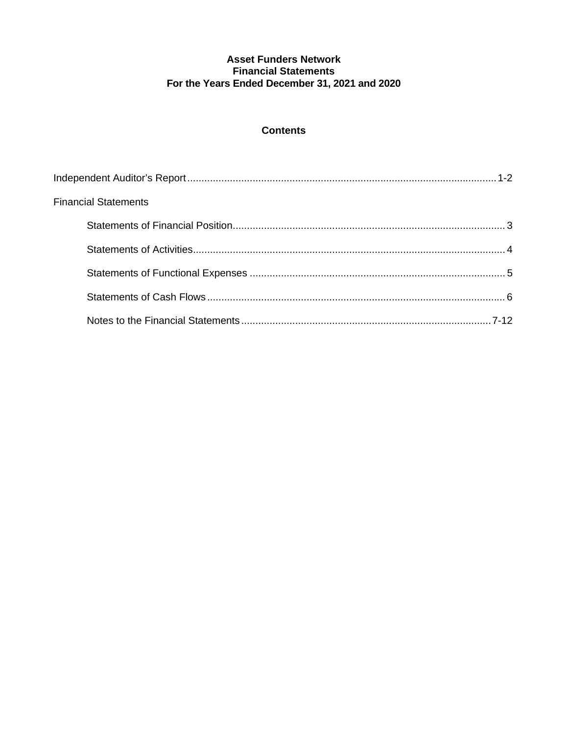## **Contents**

| <b>Financial Statements</b> |  |
|-----------------------------|--|
|                             |  |
|                             |  |
|                             |  |
|                             |  |
|                             |  |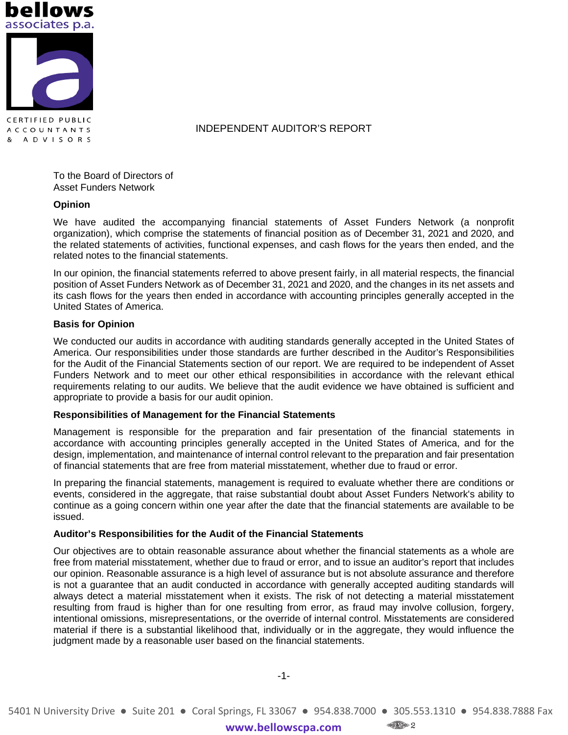



A D V I S O R S

INDEPENDENT AUDITOR'S REPORT

To the Board of Directors of Asset Funders Network

#### **Opinion**

We have audited the accompanying financial statements of Asset Funders Network (a nonprofit organization), which comprise the statements of financial position as of December 31, 2021 and 2020, and the related statements of activities, functional expenses, and cash flows for the years then ended, and the related notes to the financial statements.

In our opinion, the financial statements referred to above present fairly, in all material respects, the financial position of Asset Funders Network as of December 31, 2021 and 2020, and the changes in its net assets and its cash flows for the years then ended in accordance with accounting principles generally accepted in the United States of America.

#### **Basis for Opinion**

We conducted our audits in accordance with auditing standards generally accepted in the United States of America. Our responsibilities under those standards are further described in the Auditor's Responsibilities for the Audit of the Financial Statements section of our report. We are required to be independent of Asset Funders Network and to meet our other ethical responsibilities in accordance with the relevant ethical requirements relating to our audits. We believe that the audit evidence we have obtained is sufficient and appropriate to provide a basis for our audit opinion.

#### **Responsibilities of Management for the Financial Statements**

Management is responsible for the preparation and fair presentation of the financial statements in accordance with accounting principles generally accepted in the United States of America, and for the design, implementation, and maintenance of internal control relevant to the preparation and fair presentation of financial statements that are free from material misstatement, whether due to fraud or error.

In preparing the financial statements, management is required to evaluate whether there are conditions or events, considered in the aggregate, that raise substantial doubt about Asset Funders Network's ability to continue as a going concern within one year after the date that the financial statements are available to be issued.

#### **Auditor's Responsibilities for the Audit of the Financial Statements**

Our objectives are to obtain reasonable assurance about whether the financial statements as a whole are free from material misstatement, whether due to fraud or error, and to issue an auditor's report that includes our opinion. Reasonable assurance is a high level of assurance but is not absolute assurance and therefore is not a guarantee that an audit conducted in accordance with generally accepted auditing standards will always detect a material misstatement when it exists. The risk of not detecting a material misstatement resulting from fraud is higher than for one resulting from error, as fraud may involve collusion, forgery, intentional omissions, misrepresentations, or the override of internal control. Misstatements are considered material if there is a substantial likelihood that, individually or in the aggregate, they would influence the judgment made by a reasonable user based on the financial statements.

-1-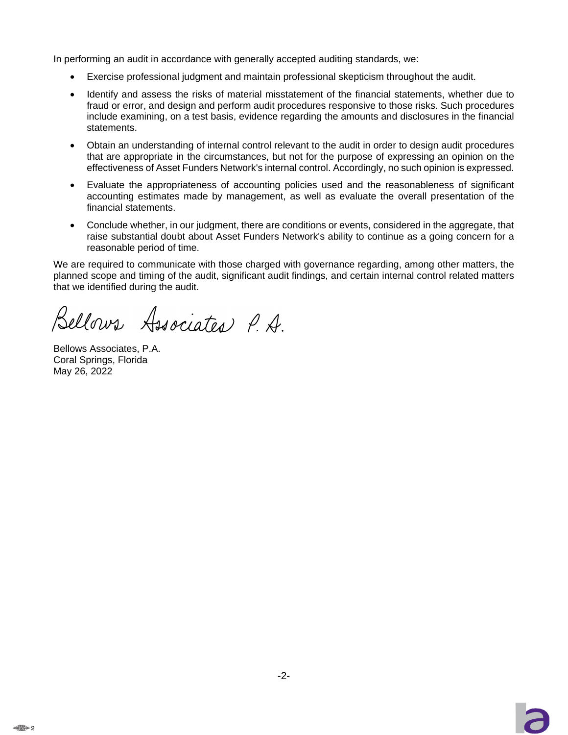In performing an audit in accordance with generally accepted auditing standards, we:

- Exercise professional judgment and maintain professional skepticism throughout the audit.
- Identify and assess the risks of material misstatement of the financial statements, whether due to fraud or error, and design and perform audit procedures responsive to those risks. Such procedures include examining, on a test basis, evidence regarding the amounts and disclosures in the financial statements.
- Obtain an understanding of internal control relevant to the audit in order to design audit procedures that are appropriate in the circumstances, but not for the purpose of expressing an opinion on the effectiveness of Asset Funders Network's internal control. Accordingly, no such opinion is expressed.
- Evaluate the appropriateness of accounting policies used and the reasonableness of significant accounting estimates made by management, as well as evaluate the overall presentation of the financial statements.
- Conclude whether, in our judgment, there are conditions or events, considered in the aggregate, that raise substantial doubt about Asset Funders Network's ability to continue as a going concern for a reasonable period of time.

We are required to communicate with those charged with governance regarding, among other matters, the planned scope and timing of the audit, significant audit findings, and certain internal control related matters that we identified during the audit.

Bellows Associates P.A.

Bellows Associates, P.A. Coral Springs, Florida May 26, 2022

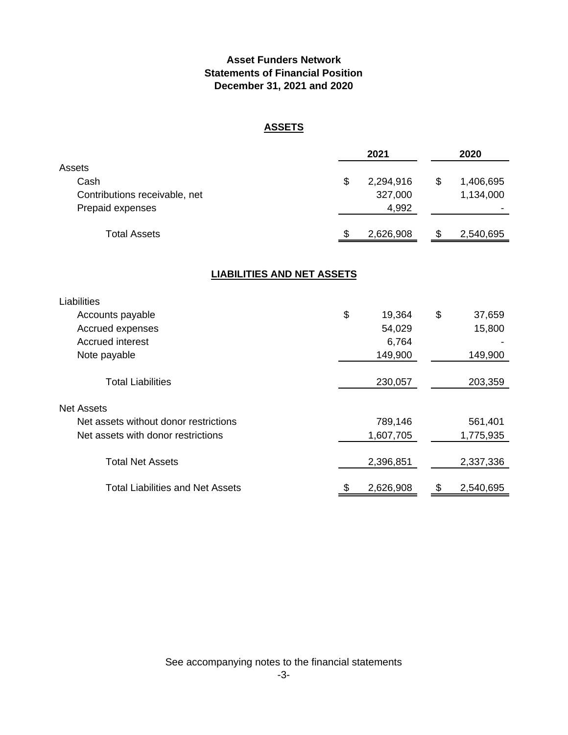# **Asset Funders Network Statements of Financial Position December 31, 2021 and 2020**

# **ASSETS**

|                                                                     |                                   | 2021                          | 2020                         |
|---------------------------------------------------------------------|-----------------------------------|-------------------------------|------------------------------|
| Assets<br>Cash<br>Contributions receivable, net<br>Prepaid expenses | \$                                | 2,294,916<br>327,000<br>4,992 | \$<br>1,406,695<br>1,134,000 |
| <b>Total Assets</b>                                                 | \$                                | 2,626,908                     | \$<br>2,540,695              |
|                                                                     | <b>LIABILITIES AND NET ASSETS</b> |                               |                              |
| Liabilities                                                         |                                   |                               |                              |
| Accounts payable                                                    | \$                                | 19,364                        | \$<br>37,659                 |
| Accrued expenses                                                    |                                   | 54,029                        | 15,800                       |
| <b>Accrued interest</b>                                             |                                   | 6,764                         |                              |
| Note payable                                                        |                                   | 149,900                       | 149,900                      |
| <b>Total Liabilities</b>                                            |                                   | 230,057                       | 203,359                      |
| <b>Net Assets</b>                                                   |                                   |                               |                              |
| Net assets without donor restrictions                               |                                   | 789,146                       | 561,401                      |
| Net assets with donor restrictions                                  |                                   | 1,607,705                     | 1,775,935                    |
| <b>Total Net Assets</b>                                             |                                   | 2,396,851                     | 2,337,336                    |
| <b>Total Liabilities and Net Assets</b>                             | \$                                | 2,626,908                     | \$<br>2,540,695              |

See accompanying notes to the financial statements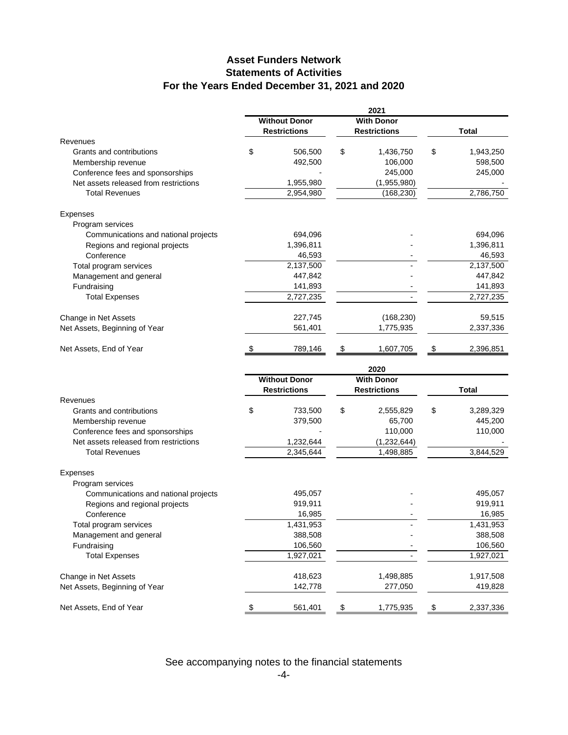# **Asset Funders Network Statements of Activities For the Years Ended December 31, 2021 and 2020**

|                                                       | 2021<br><b>Without Donor</b><br><b>With Donor</b> |    |                      |               |              |
|-------------------------------------------------------|---------------------------------------------------|----|----------------------|---------------|--------------|
|                                                       | <b>Restrictions</b>                               |    | <b>Restrictions</b>  |               | <b>Total</b> |
| Revenues                                              |                                                   |    |                      |               |              |
| Grants and contributions                              | \$<br>506,500                                     | \$ | 1,436,750            | \$            | 1,943,250    |
| Membership revenue                                    | 492,500                                           |    | 106,000              |               | 598,500      |
| Conference fees and sponsorships                      |                                                   |    | 245,000              |               | 245,000      |
| Net assets released from restrictions                 | 1,955,980                                         |    | (1,955,980)          |               |              |
| <b>Total Revenues</b>                                 | 2,954,980                                         |    | (168, 230)           |               | 2,786,750    |
| <b>Expenses</b>                                       |                                                   |    |                      |               |              |
| Program services                                      |                                                   |    |                      |               |              |
| Communications and national projects                  | 694,096                                           |    |                      |               | 694,096      |
| Regions and regional projects                         | 1,396,811                                         |    |                      |               | 1,396,811    |
| Conference                                            | 46,593                                            |    |                      |               | 46,593       |
| Total program services                                | 2,137,500                                         |    |                      |               | 2,137,500    |
| Management and general                                | 447,842                                           |    |                      |               | 447,842      |
| Fundraising                                           | 141,893                                           |    |                      |               | 141,893      |
| <b>Total Expenses</b>                                 | 2,727,235                                         |    |                      |               | 2,727,235    |
| Change in Net Assets                                  | 227,745                                           |    | (168, 230)           |               | 59,515       |
| Net Assets, Beginning of Year                         | 561,401                                           |    | 1,775,935            |               | 2,337,336    |
| Net Assets, End of Year                               | \$<br>789,146                                     | \$ | 1,607,705            | $\frac{1}{2}$ | 2,396,851    |
|                                                       |                                                   |    | 2020                 |               |              |
|                                                       | <b>Without Donor</b>                              |    | <b>With Donor</b>    |               |              |
|                                                       | <b>Restrictions</b>                               |    | <b>Restrictions</b>  |               | Total        |
| Revenues                                              |                                                   |    |                      |               |              |
| Grants and contributions                              | \$<br>733,500                                     | \$ | 2,555,829            | \$            | 3,289,329    |
| Membership revenue                                    | 379,500                                           |    | 65,700               |               | 445,200      |
| Conference fees and sponsorships                      |                                                   |    | 110,000              |               | 110,000      |
| Net assets released from restrictions                 | 1,232,644                                         |    | (1, 232, 644)        |               |              |
| <b>Total Revenues</b>                                 | 2,345,644                                         |    | 1,498,885            |               | 3,844,529    |
| <b>Expenses</b>                                       |                                                   |    |                      |               |              |
| Program services                                      |                                                   |    |                      |               |              |
| Communications and national projects                  | 495,057                                           |    |                      |               | 495,057      |
| Regions and regional projects                         | 919,911                                           |    |                      |               | 919,911      |
| Conference                                            | 16,985                                            |    |                      |               | 16,985       |
| Total program services                                | 1,431,953                                         |    |                      |               | 1,431,953    |
| Management and general                                |                                                   |    |                      |               |              |
|                                                       | 388,508                                           |    |                      |               | 388,508      |
| Fundraising                                           | 106,560                                           |    |                      |               | 106,560      |
| <b>Total Expenses</b>                                 | 1,927,021                                         |    |                      |               | 1,927,021    |
|                                                       |                                                   |    |                      |               | 1,917,508    |
| Change in Net Assets<br>Net Assets, Beginning of Year | 418,623<br>142,778                                |    | 1,498,885<br>277,050 |               | 419,828      |

See accompanying notes to the financial statements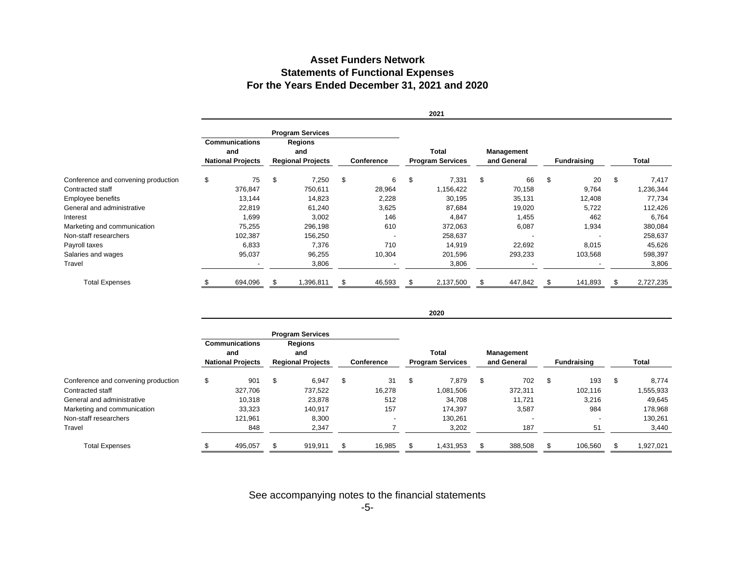# **Asset Funders NetworkStatements of Functional Expenses For the Years Ended December 31, 2021 and 2020**

|                                     |                                 |                       |                          |                         |                   |        |                         | 2021      |             |                          |                    |         |       |           |
|-------------------------------------|---------------------------------|-----------------------|--------------------------|-------------------------|-------------------|--------|-------------------------|-----------|-------------|--------------------------|--------------------|---------|-------|-----------|
|                                     |                                 |                       |                          | <b>Program Services</b> |                   |        |                         |           |             |                          |                    |         |       |           |
|                                     |                                 | <b>Communications</b> |                          | <b>Regions</b>          |                   |        |                         |           |             |                          |                    |         |       |           |
|                                     | and<br><b>National Projects</b> |                       |                          | and                     |                   |        |                         | Total     |             | Management               |                    |         |       |           |
|                                     |                                 |                       | <b>Regional Projects</b> |                         | <b>Conference</b> |        | <b>Program Services</b> |           | and General |                          | <b>Fundraising</b> |         | Total |           |
| Conference and convening production | \$                              | 75                    | \$                       | 7,250                   | \$                | 6      | \$                      | 7,331     | \$          | 66                       | \$                 | 20      | \$    | 7,417     |
| Contracted staff                    |                                 | 376,847               |                          | 750,611                 |                   | 28,964 |                         | 1,156,422 |             | 70,158                   |                    | 9,764   |       | 1,236,344 |
| Employee benefits                   |                                 | 13,144                |                          | 14,823                  |                   | 2,228  |                         | 30,195    |             | 35,131                   |                    | 12,408  |       | 77,734    |
| General and administrative          |                                 | 22,819                |                          | 61,240                  |                   | 3,625  |                         | 87,684    |             | 19,020                   |                    | 5,722   |       | 112,426   |
| Interest                            |                                 | 1,699                 |                          | 3,002                   |                   | 146    |                         | 4,847     |             | 1,455                    |                    | 462     |       | 6,764     |
| Marketing and communication         |                                 | 75,255                |                          | 296,198                 |                   | 610    |                         | 372,063   |             | 6,087                    |                    | 1,934   |       | 380,084   |
| Non-staff researchers               |                                 | 102,387               |                          | 156,250                 |                   |        |                         | 258,637   |             | $\overline{\phantom{a}}$ |                    |         |       | 258,637   |
| Payroll taxes                       |                                 | 6,833                 |                          | 7,376                   |                   | 710    |                         | 14,919    |             | 22,692                   |                    | 8,015   |       | 45,626    |
| Salaries and wages                  |                                 | 95,037                |                          | 96,255                  |                   | 10,304 |                         | 201,596   |             | 293,233                  |                    | 103,568 |       | 598,397   |
| Travel                              |                                 |                       |                          | 3,806                   |                   |        |                         | 3,806     |             |                          |                    |         |       | 3,806     |
| <b>Total Expenses</b>               |                                 | 694,096               |                          | 1,396,811               |                   | 46,593 |                         | 2,137,500 |             | 447,842                  |                    | 141,893 |       | 2,727,235 |

|                                     | <b>Program Services</b>                                  |         |                                                   |         |                   |        |                                  |           |                           |         |                    |         |       |           |
|-------------------------------------|----------------------------------------------------------|---------|---------------------------------------------------|---------|-------------------|--------|----------------------------------|-----------|---------------------------|---------|--------------------|---------|-------|-----------|
|                                     | <b>Communications</b><br>and<br><b>National Projects</b> |         | <b>Regions</b><br>and<br><b>Regional Projects</b> |         |                   |        |                                  |           |                           |         |                    |         |       |           |
|                                     |                                                          |         |                                                   |         | <b>Conference</b> |        | Total<br><b>Program Services</b> |           | Management<br>and General |         |                    |         |       |           |
|                                     |                                                          |         |                                                   |         |                   |        |                                  |           |                           |         | <b>Fundraising</b> |         | Total |           |
| Conference and convening production | \$                                                       | 901     | \$                                                | 6,947   | \$                | 31     | \$                               | 7,879     | \$                        | 702     | \$                 | 193     | \$    | 8,774     |
| Contracted staff                    |                                                          | 327,706 |                                                   | 737,522 |                   | 16,278 |                                  | 1,081,506 |                           | 372,311 |                    | 102.116 |       | 1,555,933 |
| General and administrative          |                                                          | 10,318  |                                                   | 23,878  |                   | 512    |                                  | 34.708    |                           | 11.721  |                    | 3,216   |       | 49,645    |
| Marketing and communication         |                                                          | 33,323  |                                                   | 140,917 |                   | 157    |                                  | 174.397   |                           | 3,587   |                    | 984     |       | 178,968   |
| Non-staff researchers               |                                                          | 121,961 |                                                   | 8,300   |                   | $\,$   |                                  | 130,261   |                           |         |                    |         |       | 130,261   |
| Travel                              |                                                          | 848     |                                                   | 2,347   |                   |        |                                  | 3,202     |                           | 187     |                    | 51      |       | 3,440     |
| <b>Total Expenses</b>               |                                                          | 495,057 | S                                                 | 919,911 | \$                | 16,985 |                                  | 1,431,953 |                           | 388,508 |                    | 106,560 |       | 1,927,021 |

**2020**

See accompanying notes to the financial statements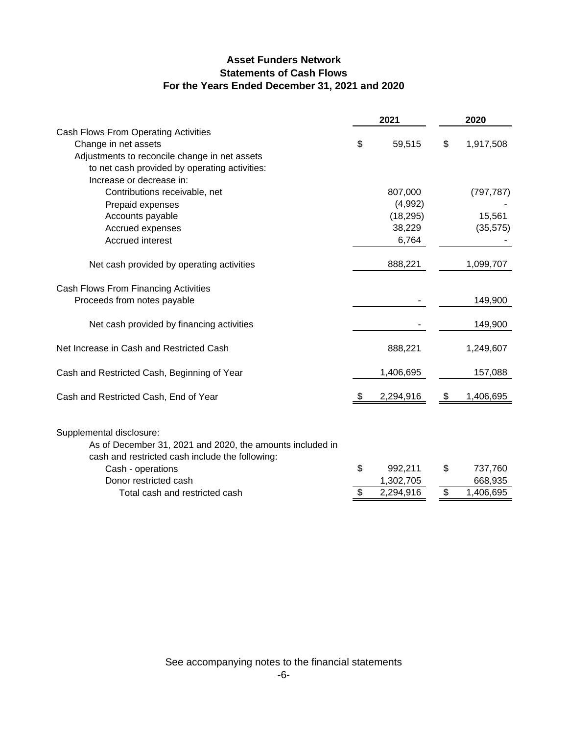# **Asset Funders Network Statements of Cash Flows For the Years Ended December 31, 2021 and 2020**

|                                                                                                                                          | 2021            | 2020 |            |  |
|------------------------------------------------------------------------------------------------------------------------------------------|-----------------|------|------------|--|
| Cash Flows From Operating Activities                                                                                                     |                 |      |            |  |
| Change in net assets                                                                                                                     | \$<br>59,515    | \$   | 1,917,508  |  |
| Adjustments to reconcile change in net assets                                                                                            |                 |      |            |  |
| to net cash provided by operating activities:                                                                                            |                 |      |            |  |
| Increase or decrease in:                                                                                                                 |                 |      |            |  |
| Contributions receivable, net                                                                                                            | 807,000         |      | (797, 787) |  |
| Prepaid expenses                                                                                                                         | (4,992)         |      |            |  |
| Accounts payable                                                                                                                         | (18, 295)       |      | 15,561     |  |
| Accrued expenses                                                                                                                         | 38,229          |      | (35, 575)  |  |
| Accrued interest                                                                                                                         | 6,764           |      |            |  |
| Net cash provided by operating activities                                                                                                | 888,221         |      | 1,099,707  |  |
| Cash Flows From Financing Activities                                                                                                     |                 |      |            |  |
| Proceeds from notes payable                                                                                                              |                 |      | 149,900    |  |
| Net cash provided by financing activities                                                                                                |                 |      | 149,900    |  |
| Net Increase in Cash and Restricted Cash                                                                                                 | 888,221         |      | 1,249,607  |  |
| Cash and Restricted Cash, Beginning of Year                                                                                              | 1,406,695       |      | 157,088    |  |
| Cash and Restricted Cash, End of Year                                                                                                    | \$<br>2,294,916 | \$   | 1,406,695  |  |
| Supplemental disclosure:<br>As of December 31, 2021 and 2020, the amounts included in<br>cash and restricted cash include the following: |                 |      |            |  |
| Cash - operations                                                                                                                        | \$<br>992,211   | \$   | 737,760    |  |
| Donor restricted cash                                                                                                                    | 1,302,705       |      | 668,935    |  |
| Total cash and restricted cash                                                                                                           | \$<br>2,294,916 | \$   | 1,406,695  |  |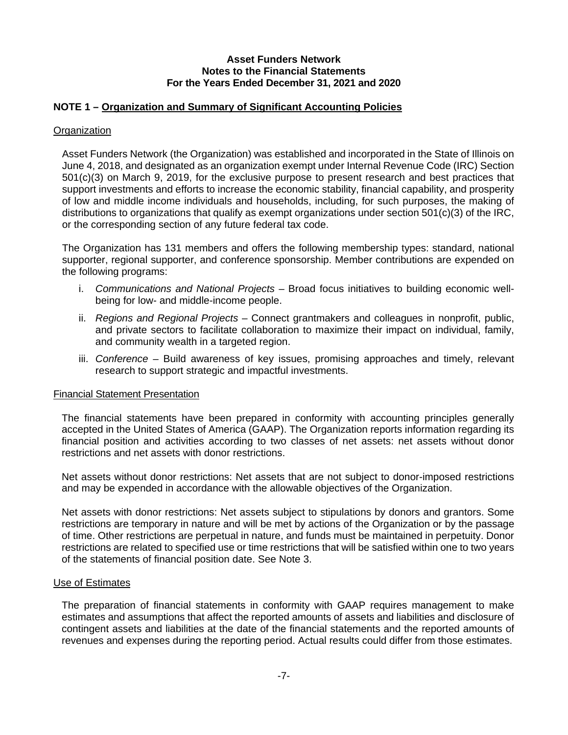### **NOTE 1 – Organization and Summary of Significant Accounting Policies**

#### **Organization**

Asset Funders Network (the Organization) was established and incorporated in the State of Illinois on June 4, 2018, and designated as an organization exempt under Internal Revenue Code (IRC) Section 501(c)(3) on March 9, 2019, for the exclusive purpose to present research and best practices that support investments and efforts to increase the economic stability, financial capability, and prosperity of low and middle income individuals and households, including, for such purposes, the making of distributions to organizations that qualify as exempt organizations under section 501(c)(3) of the IRC, or the corresponding section of any future federal tax code.

The Organization has 131 members and offers the following membership types: standard, national supporter, regional supporter, and conference sponsorship. Member contributions are expended on the following programs:

- i. *Communications and National Projects* Broad focus initiatives to building economic wellbeing for low- and middle-income people.
- ii. *Regions and Regional Projects* Connect grantmakers and colleagues in nonprofit, public, and private sectors to facilitate collaboration to maximize their impact on individual, family, and community wealth in a targeted region.
- iii. *Conference* Build awareness of key issues, promising approaches and timely, relevant research to support strategic and impactful investments.

#### Financial Statement Presentation

The financial statements have been prepared in conformity with accounting principles generally accepted in the United States of America (GAAP). The Organization reports information regarding its financial position and activities according to two classes of net assets: net assets without donor restrictions and net assets with donor restrictions.

Net assets without donor restrictions: Net assets that are not subject to donor-imposed restrictions and may be expended in accordance with the allowable objectives of the Organization.

Net assets with donor restrictions: Net assets subject to stipulations by donors and grantors. Some restrictions are temporary in nature and will be met by actions of the Organization or by the passage of time. Other restrictions are perpetual in nature, and funds must be maintained in perpetuity. Donor restrictions are related to specified use or time restrictions that will be satisfied within one to two years of the statements of financial position date. See Note 3.

#### Use of Estimates

The preparation of financial statements in conformity with GAAP requires management to make estimates and assumptions that affect the reported amounts of assets and liabilities and disclosure of contingent assets and liabilities at the date of the financial statements and the reported amounts of revenues and expenses during the reporting period. Actual results could differ from those estimates.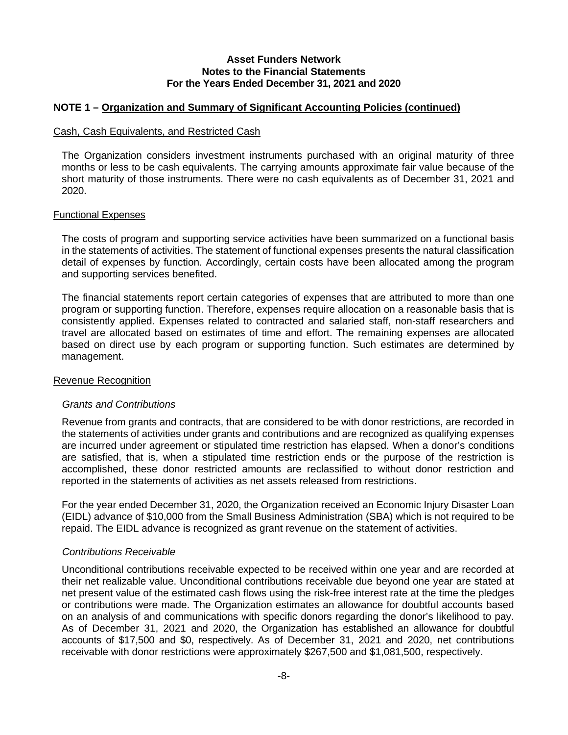### **NOTE 1 – Organization and Summary of Significant Accounting Policies (continued)**

#### Cash, Cash Equivalents, and Restricted Cash

The Organization considers investment instruments purchased with an original maturity of three months or less to be cash equivalents. The carrying amounts approximate fair value because of the short maturity of those instruments. There were no cash equivalents as of December 31, 2021 and 2020.

#### Functional Expenses

The costs of program and supporting service activities have been summarized on a functional basis in the statements of activities. The statement of functional expenses presents the natural classification detail of expenses by function. Accordingly, certain costs have been allocated among the program and supporting services benefited.

The financial statements report certain categories of expenses that are attributed to more than one program or supporting function. Therefore, expenses require allocation on a reasonable basis that is consistently applied. Expenses related to contracted and salaried staff, non-staff researchers and travel are allocated based on estimates of time and effort. The remaining expenses are allocated based on direct use by each program or supporting function. Such estimates are determined by management.

#### Revenue Recognition

#### *Grants and Contributions*

Revenue from grants and contracts, that are considered to be with donor restrictions, are recorded in the statements of activities under grants and contributions and are recognized as qualifying expenses are incurred under agreement or stipulated time restriction has elapsed. When a donor's conditions are satisfied, that is, when a stipulated time restriction ends or the purpose of the restriction is accomplished, these donor restricted amounts are reclassified to without donor restriction and reported in the statements of activities as net assets released from restrictions.

For the year ended December 31, 2020, the Organization received an Economic Injury Disaster Loan (EIDL) advance of \$10,000 from the Small Business Administration (SBA) which is not required to be repaid. The EIDL advance is recognized as grant revenue on the statement of activities.

#### *Contributions Receivable*

Unconditional contributions receivable expected to be received within one year and are recorded at their net realizable value. Unconditional contributions receivable due beyond one year are stated at net present value of the estimated cash flows using the risk-free interest rate at the time the pledges or contributions were made. The Organization estimates an allowance for doubtful accounts based on an analysis of and communications with specific donors regarding the donor's likelihood to pay. As of December 31, 2021 and 2020, the Organization has established an allowance for doubtful accounts of \$17,500 and \$0, respectively. As of December 31, 2021 and 2020, net contributions receivable with donor restrictions were approximately \$267,500 and \$1,081,500, respectively.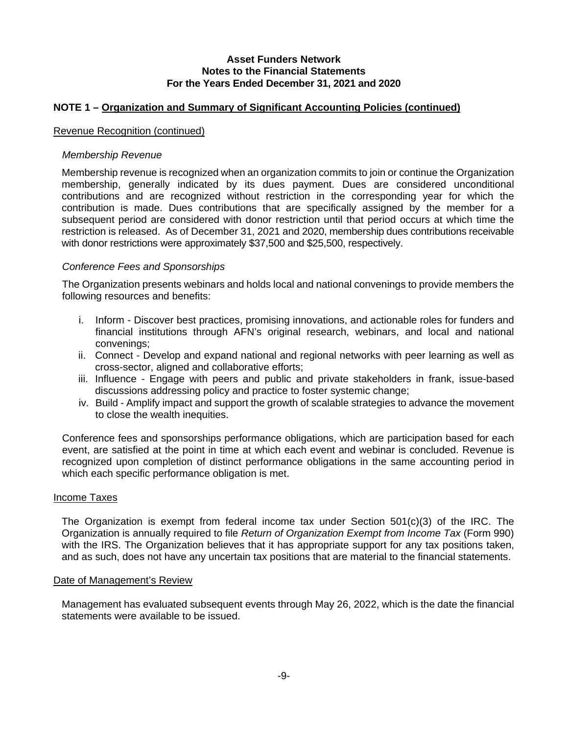### **NOTE 1 – Organization and Summary of Significant Accounting Policies (continued)**

#### Revenue Recognition (continued)

#### *Membership Revenue*

Membership revenue is recognized when an organization commits to join or continue the Organization membership, generally indicated by its dues payment. Dues are considered unconditional contributions and are recognized without restriction in the corresponding year for which the contribution is made. Dues contributions that are specifically assigned by the member for a subsequent period are considered with donor restriction until that period occurs at which time the restriction is released. As of December 31, 2021 and 2020, membership dues contributions receivable with donor restrictions were approximately \$37,500 and \$25,500, respectively.

#### *Conference Fees and Sponsorships*

The Organization presents webinars and holds local and national convenings to provide members the following resources and benefits:

- i. Inform Discover best practices, promising innovations, and actionable roles for funders and financial institutions through AFN's original research, webinars, and local and national convenings;
- ii. Connect Develop and expand national and regional networks with peer learning as well as cross-sector, aligned and collaborative efforts;
- iii. Influence Engage with peers and public and private stakeholders in frank, issue-based discussions addressing policy and practice to foster systemic change;
- iv. Build Amplify impact and support the growth of scalable strategies to advance the movement to close the wealth inequities.

Conference fees and sponsorships performance obligations, which are participation based for each event, are satisfied at the point in time at which each event and webinar is concluded. Revenue is recognized upon completion of distinct performance obligations in the same accounting period in which each specific performance obligation is met.

#### Income Taxes

The Organization is exempt from federal income tax under Section 501(c)(3) of the IRC. The Organization is annually required to file *Return of Organization Exempt from Income Tax* (Form 990) with the IRS. The Organization believes that it has appropriate support for any tax positions taken, and as such, does not have any uncertain tax positions that are material to the financial statements.

#### Date of Management's Review

Management has evaluated subsequent events through May 26, 2022, which is the date the financial statements were available to be issued.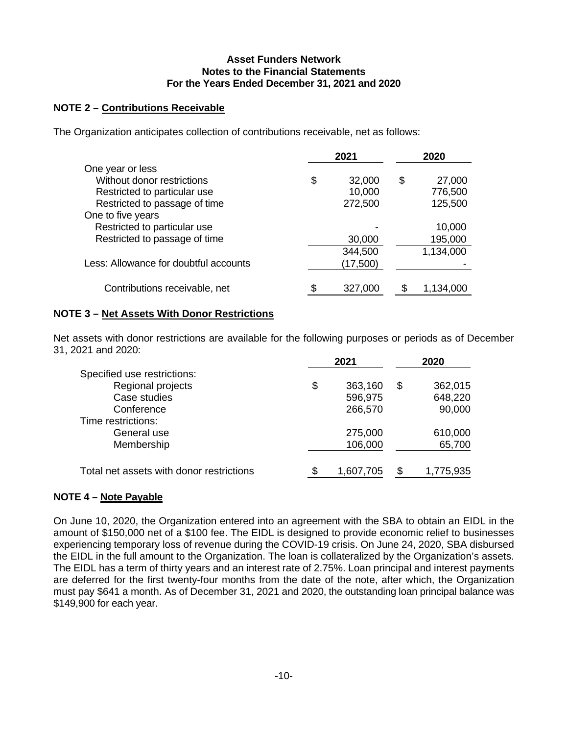## **NOTE 2 – Contributions Receivable**

The Organization anticipates collection of contributions receivable, net as follows:

|                                       | 2021         | 2020 |           |  |
|---------------------------------------|--------------|------|-----------|--|
| One year or less                      |              |      |           |  |
| Without donor restrictions            | \$<br>32,000 | \$   | 27,000    |  |
| Restricted to particular use          | 10,000       |      | 776,500   |  |
| Restricted to passage of time         | 272,500      |      | 125,500   |  |
| One to five years                     |              |      |           |  |
| Restricted to particular use          |              |      | 10,000    |  |
| Restricted to passage of time         | 30,000       |      | 195,000   |  |
|                                       | 344,500      |      | 1,134,000 |  |
| Less: Allowance for doubtful accounts | (17,500)     |      |           |  |
|                                       |              |      |           |  |
| Contributions receivable, net         | 327,000      |      | 1,134,000 |  |

## **NOTE 3 – Net Assets With Donor Restrictions**

Net assets with donor restrictions are available for the following purposes or periods as of December 31, 2021 and 2020:

|                                          |    | 2021      | 2020            |
|------------------------------------------|----|-----------|-----------------|
| Specified use restrictions:              |    |           |                 |
| Regional projects                        | \$ | 363,160   | \$<br>362,015   |
| Case studies                             |    | 596,975   | 648,220         |
| Conference                               |    | 266,570   | 90,000          |
| Time restrictions:                       |    |           |                 |
| General use                              |    | 275,000   | 610,000         |
| Membership                               |    | 106,000   | 65,700          |
|                                          |    |           |                 |
| Total net assets with donor restrictions | ደ  | 1,607,705 | \$<br>1,775,935 |
|                                          |    |           |                 |

## **NOTE 4 – Note Payable**

On June 10, 2020, the Organization entered into an agreement with the SBA to obtain an EIDL in the amount of \$150,000 net of a \$100 fee. The EIDL is designed to provide economic relief to businesses experiencing temporary loss of revenue during the COVID-19 crisis. On June 24, 2020, SBA disbursed the EIDL in the full amount to the Organization. The loan is collateralized by the Organization's assets. The EIDL has a term of thirty years and an interest rate of 2.75%. Loan principal and interest payments are deferred for the first twenty-four months from the date of the note, after which, the Organization must pay \$641 a month. As of December 31, 2021 and 2020, the outstanding loan principal balance was \$149,900 for each year.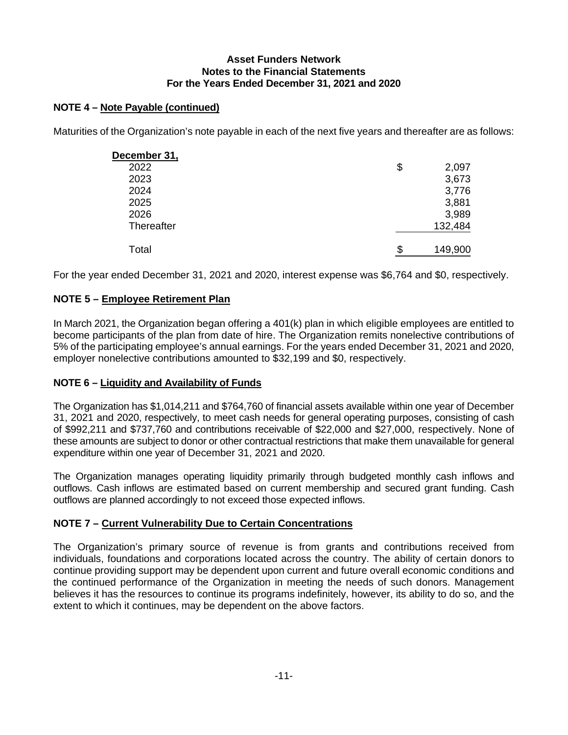# **NOTE 4 – Note Payable (continued)**

Maturities of the Organization's note payable in each of the next five years and thereafter are as follows:

| December 31,      |               |
|-------------------|---------------|
| 2022              | \$<br>2,097   |
| 2023              | 3,673         |
| 2024              | 3,776         |
| 2025              | 3,881         |
| 2026              | 3,989         |
| <b>Thereafter</b> | 132,484       |
|                   |               |
| Total             | \$<br>149,900 |

For the year ended December 31, 2021 and 2020, interest expense was \$6,764 and \$0, respectively.

## **NOTE 5 – Employee Retirement Plan**

In March 2021, the Organization began offering a 401(k) plan in which eligible employees are entitled to become participants of the plan from date of hire. The Organization remits nonelective contributions of 5% of the participating employee's annual earnings. For the years ended December 31, 2021 and 2020, employer nonelective contributions amounted to \$32,199 and \$0, respectively.

## **NOTE 6 – Liquidity and Availability of Funds**

The Organization has \$1,014,211 and \$764,760 of financial assets available within one year of December 31, 2021 and 2020, respectively, to meet cash needs for general operating purposes, consisting of cash of \$992,211 and \$737,760 and contributions receivable of \$22,000 and \$27,000, respectively. None of these amounts are subject to donor or other contractual restrictions that make them unavailable for general expenditure within one year of December 31, 2021 and 2020.

The Organization manages operating liquidity primarily through budgeted monthly cash inflows and outflows. Cash inflows are estimated based on current membership and secured grant funding. Cash outflows are planned accordingly to not exceed those expected inflows.

## **NOTE 7 – Current Vulnerability Due to Certain Concentrations**

The Organization's primary source of revenue is from grants and contributions received from individuals, foundations and corporations located across the country. The ability of certain donors to continue providing support may be dependent upon current and future overall economic conditions and the continued performance of the Organization in meeting the needs of such donors. Management believes it has the resources to continue its programs indefinitely, however, its ability to do so, and the extent to which it continues, may be dependent on the above factors.